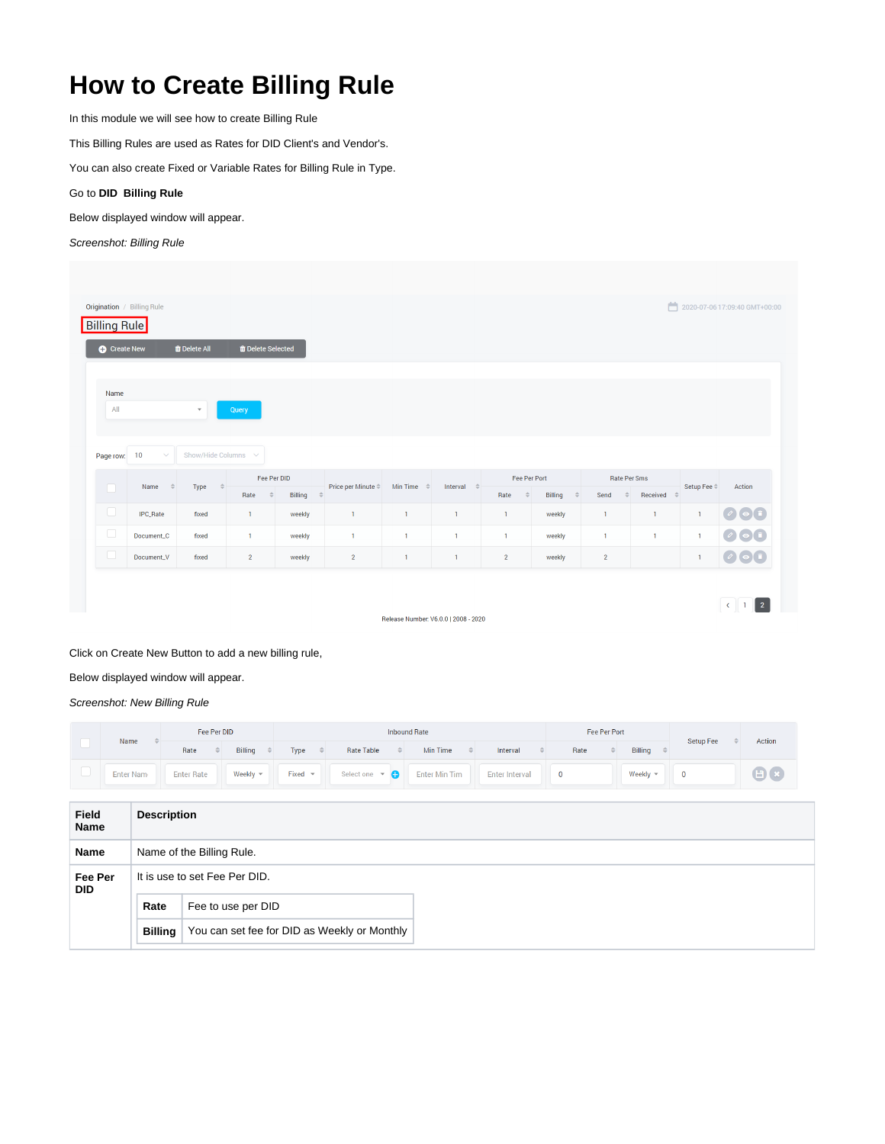## **How to Create Billing Rule**

In this module we will see how to create Billing Rule

This Billing Rules are used as Rates for DID Client's and Vendor's.

You can also create Fixed or Variable Rates for Billing Rule in Type.

## Go to **DID Billing Rule**

Below displayed window will appear.

## Screenshot: Billing Rule

|                     | Origination / Billing Rule |                          |                                  |                          |                    |                       |                        |                       |                          |                       |                           |                       | 2020-07-06 17:09:40 GMT+00:00                           |
|---------------------|----------------------------|--------------------------|----------------------------------|--------------------------|--------------------|-----------------------|------------------------|-----------------------|--------------------------|-----------------------|---------------------------|-----------------------|---------------------------------------------------------|
| <b>Billing Rule</b> |                            |                          |                                  |                          |                    |                       |                        |                       |                          |                       |                           |                       |                                                         |
| <b>C</b> Create New |                            | <b>T</b> Delete All      | <b><i>ff</i></b> Delete Selected |                          |                    |                       |                        |                       |                          |                       |                           |                       |                                                         |
|                     |                            |                          |                                  |                          |                    |                       |                        |                       |                          |                       |                           |                       |                                                         |
| Name<br>All         |                            | $\overline{\mathbf v}$   | Query                            |                          |                    |                       |                        |                       |                          |                       |                           |                       |                                                         |
|                     |                            |                          |                                  |                          |                    |                       |                        |                       |                          |                       |                           |                       |                                                         |
|                     |                            |                          |                                  |                          |                    |                       |                        |                       |                          |                       |                           |                       |                                                         |
| Page row: 10        | $\checkmark$               | Show/Hide Columns $\sim$ |                                  |                          |                    |                       |                        |                       |                          |                       |                           |                       |                                                         |
|                     | Name<br>$\Rightarrow$      |                          | Fee Per DID                      |                          | Price per Minute ≑ | Min Time $\hat{\div}$ |                        | Fee Per Port          |                          |                       |                           | Setup Fee $\doteqdot$ | Action                                                  |
|                     |                            | $\Rightarrow$<br>Type    |                                  |                          |                    |                       | Interval $\Rightarrow$ |                       |                          |                       | Rate Per Sms              |                       |                                                         |
|                     |                            |                          | Rate<br>$\Rightarrow$            | Billing<br>$\Rightarrow$ |                    |                       |                        | Rate<br>$\Rightarrow$ | Billing<br>$\Rightarrow$ | Send<br>$\Rightarrow$ | Received<br>$\Rightarrow$ |                       |                                                         |
| $\Box$              | IPC_Rate                   | fixed                    | $\mathbf{1}$                     | weekly                   | $\mathbf{1}$       | $\mathbf{1}$          | $\mathbf{1}$           | $\mathbf{1}$          | weekly                   | 1                     | $\mathbf{1}$              | $\mathbf{1}$          |                                                         |
| $\Box$              | Document_C                 | fixed                    | $\mathbf{1}$                     | weekly                   | $\mathbf{1}$       | $\mathbf{1}$          | $\mathbf{1}$           | $\mathbf{1}$          | weekly                   | 1                     | $\overline{1}$            | $\mathbf{1}$          |                                                         |
| $\Box$              | Document_V                 | fixed                    | $\overline{2}$                   | weekly                   | $\overline{2}$     | $\mathbf{1}$          | $\mathbf{1}$           | $\overline{2}$        | weekly                   | $\overline{2}$        |                           | $\mathbf{1}$          | 000<br>$\bigcirc$ $\bigcirc$ $\bigcirc$<br>$\bullet$ of |

Release Number: V6.0.0 | 2008 - 2020

## Click on Create New Button to add a new billing rule,

Below displayed window will appear.

Screenshot: New Billing Rule

|                       | Name      |                                                                | Fee Per DID        |  |                             | <b>Inbound Rate</b> |                  |               |                       |               |                 |               |                       |               | <b>Fee Per Port</b> |  | Setup Fee    |                   | Action   |  |             |
|-----------------------|-----------|----------------------------------------------------------------|--------------------|--|-----------------------------|---------------------|------------------|---------------|-----------------------|---------------|-----------------|---------------|-----------------------|---------------|---------------------|--|--------------|-------------------|----------|--|-------------|
|                       |           |                                                                | Rate               |  | Billing                     |                     | Type             | $\Rightarrow$ | <b>Rate Table</b>     | $\Rightarrow$ | <b>Min Time</b> | $\Rightarrow$ | Interval              | $\Rightarrow$ | Rate                |  | $\triangleq$ | Billing           |          |  |             |
| $\Box$                | Enter Nam |                                                                | <b>Enter Rate</b>  |  | Weekly $\blacktriangledown$ |                     | Fixed $\sqrt{ }$ |               | Select one $\sqrt{ }$ |               | Enter Min Tim   |               | <b>Enter Interval</b> |               | $\mathbf 0$         |  |              | Weekly $\sqrt{*}$ | $\bf{0}$ |  | $\bigoplus$ |
|                       |           |                                                                |                    |  |                             |                     |                  |               |                       |               |                 |               |                       |               |                     |  |              |                   |          |  |             |
| <b>Field</b><br>Name  |           | <b>Description</b>                                             |                    |  |                             |                     |                  |               |                       |               |                 |               |                       |               |                     |  |              |                   |          |  |             |
| Name                  |           | Name of the Billing Rule.                                      |                    |  |                             |                     |                  |               |                       |               |                 |               |                       |               |                     |  |              |                   |          |  |             |
| Fee Per<br><b>DID</b> |           | It is use to set Fee Per DID.                                  |                    |  |                             |                     |                  |               |                       |               |                 |               |                       |               |                     |  |              |                   |          |  |             |
|                       |           | Rate                                                           | Fee to use per DID |  |                             |                     |                  |               |                       |               |                 |               |                       |               |                     |  |              |                   |          |  |             |
|                       |           | You can set fee for DID as Weekly or Monthly<br><b>Billing</b> |                    |  |                             |                     |                  |               |                       |               |                 |               |                       |               |                     |  |              |                   |          |  |             |